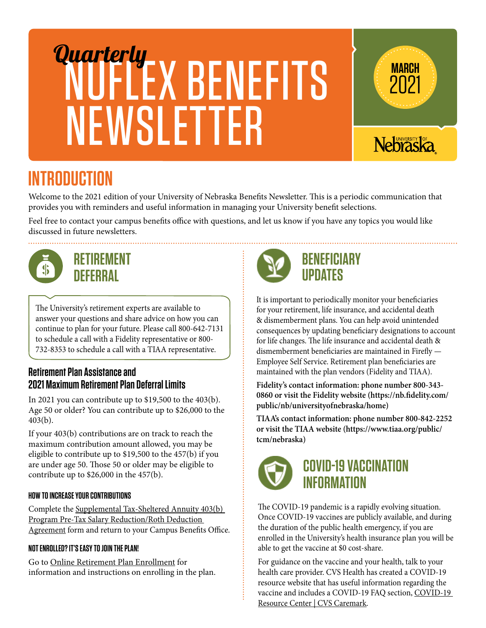# NUFLEX BENEFITS **NEWSLETTER** Quarterly **WARCH**<br>
MARCH



2021

## **INTRODUCTION**

Welcome to the 2021 edition of your University of Nebraska Benefits Newsletter. This is a periodic communication that provides you with reminders and useful information in managing your University benefit selections.

Feel free to contact your campus benefits office with questions, and let us know if you have any topics you would like discussed in future newsletters.



## **RETIREMENT DEFERRAL**

The University's retirement experts are available to answer your questions and share advice on how you can continue to plan for your future. Please call 800-642-7131 to schedule a call with a Fidelity representative or 800- 732-8353 to schedule a call with a TIAA representative.

#### **Retirement Plan Assistance and 2021 Maximum Retirement Plan Deferral Limits**

In 2021 you can contribute up to \$19,500 to the 403(b). Age 50 or older? You can contribute up to \$26,000 to the 403(b).

If your 403(b) contributions are on track to reach the maximum contribution amount allowed, you may be eligible to contribute up to \$19,500 to the 457(b) if you are under age 50. Those 50 or older may be eligible to contribute up to \$26,000 in the 457(b).

#### **HOW TO INCREASE YOUR CONTRIBUTIONS**

Complete the [Supplemental Tax-Sheltered Annuity 403\(b\)](https://nebraska.edu/-/media/projects/unca/faculty-staff/retirement-benefits/srasalaryreductionform.pdf?la=en)  [Program Pre-Tax Salary Reduction/Roth Deduction](https://nebraska.edu/-/media/projects/unca/faculty-staff/retirement-benefits/srasalaryreductionform.pdf?la=en)  [Agreement](https://nebraska.edu/-/media/projects/unca/faculty-staff/retirement-benefits/srasalaryreductionform.pdf?la=en) form and return to your Campus Benefits Office.

#### **NOT ENROLLED? IT'S EASY TO JOIN THE PLAN!**

Go to [Online Retirement Plan Enrollment](https://nebraska.edu/faculty-and-staff/retirement-benefits/supplemental-retirement-plan-403b/step-by-step-enrollment-for-403b-plan) for information and instructions on enrolling in the plan.



### **BENEFICIARY UPDATES**

It is important to periodically monitor your beneficiaries for your retirement, life insurance, and accidental death & dismemberment plans. You can help avoid unintended consequences by updating beneficiary designations to account for life changes. The life insurance and accidental death & dismemberment beneficiaries are maintained in Firefly — Employee Self Service. Retirement plan beneficiaries are maintained with the plan vendors (Fidelity and TIAA).

**Fidelity's contact information: phone number 800-343- 0860 or visit the Fidelity website (https://nb.fidelity.com/ public/nb/universityofnebraska/home)**

**TIAA's contact information: phone number 800-842-2252 or visit the TIAA website (https://www.tiaa.org/public/ tcm/nebraska)**



## **COVID-19 VACCINATION INFORMATION**

The COVID-19 pandemic is a rapidly evolving situation. Once COVID-19 vaccines are publicly available, and during the duration of the public health emergency, if you are enrolled in the University's health insurance plan you will be able to get the vaccine at \$0 cost-share.

For guidance on the vaccine and your health, talk to your health care provider. CVS Health has created a COVID-19 resource website that has useful information regarding the vaccine and includes a COVID-19 FAQ section, [COVID-19](https://www.caremark.com/covid19)  [Resource Center | CVS Caremark.](https://www.caremark.com/covid19)